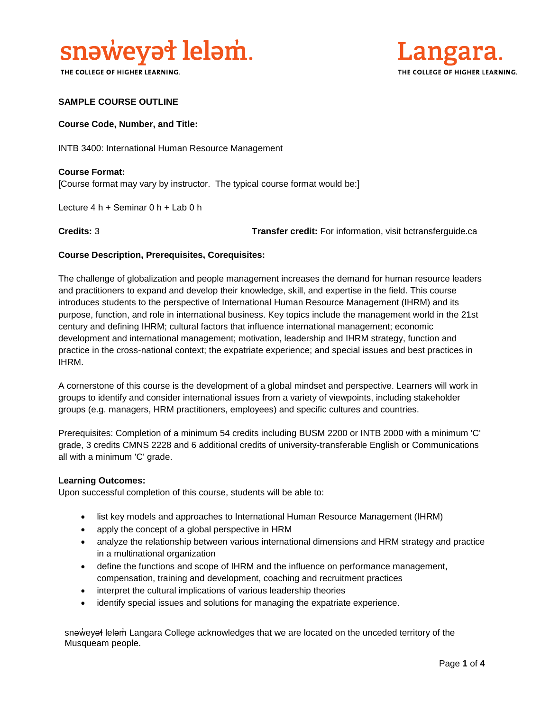

THE COLLEGE OF HIGHER LEARNING.



### **SAMPLE COURSE OUTLINE**

#### **Course Code, Number, and Title:**

INTB 3400: International Human Resource Management

**Course Format:** [Course format may vary by instructor. The typical course format would be:]

Lecture 4 h + Seminar 0 h + Lab 0 h

**Credits:** 3 **Transfer credit:** For information, visit bctransferguide.ca

#### **Course Description, Prerequisites, Corequisites:**

The challenge of globalization and people management increases the demand for human resource leaders and practitioners to expand and develop their knowledge, skill, and expertise in the field. This course introduces students to the perspective of International Human Resource Management (IHRM) and its purpose, function, and role in international business. Key topics include the management world in the 21st century and defining IHRM; cultural factors that influence international management; economic development and international management; motivation, leadership and IHRM strategy, function and practice in the cross-national context; the expatriate experience; and special issues and best practices in IHRM.

A cornerstone of this course is the development of a global mindset and perspective. Learners will work in groups to identify and consider international issues from a variety of viewpoints, including stakeholder groups (e.g. managers, HRM practitioners, employees) and specific cultures and countries.

Prerequisites: Completion of a minimum 54 credits including BUSM 2200 or INTB 2000 with a minimum 'C' grade, 3 credits CMNS 2228 and 6 additional credits of university-transferable English or Communications all with a minimum 'C' grade.

#### **Learning Outcomes:**

Upon successful completion of this course, students will be able to:

- list key models and approaches to International Human Resource Management (IHRM)
- apply the concept of a global perspective in HRM
- analyze the relationship between various international dimensions and HRM strategy and practice in a multinational organization
- define the functions and scope of IHRM and the influence on performance management, compensation, training and development, coaching and recruitment practices
- interpret the cultural implications of various leadership theories
- identify special issues and solutions for managing the expatriate experience.

snəweyał leləm Langara College acknowledges that we are located on the unceded territory of the Musqueam people.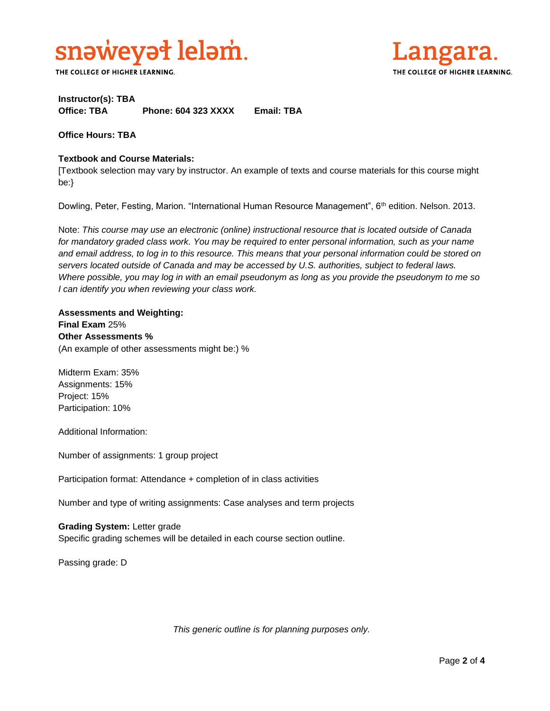

THE COLLEGE OF HIGHER LEARNING.



# **Instructor(s): TBA Office: TBA Phone: 604 323 XXXX Email: TBA**

**Office Hours: TBA** 

## **Textbook and Course Materials:**

[Textbook selection may vary by instructor. An example of texts and course materials for this course might be:}

Dowling, Peter, Festing, Marion. "International Human Resource Management", 6<sup>th</sup> edition. Nelson. 2013.

Note: *This course may use an electronic (online) instructional resource that is located outside of Canada*  for mandatory graded class work. You may be required to enter personal information, such as your name *and email address, to log in to this resource. This means that your personal information could be stored on servers located outside of Canada and may be accessed by U.S. authorities, subject to federal laws. Where possible, you may log in with an email pseudonym as long as you provide the pseudonym to me so I can identify you when reviewing your class work.* 

**Assessments and Weighting: Final Exam** 25% **Other Assessments %** (An example of other assessments might be:) %

Midterm Exam: 35% Assignments: 15% Project: 15% Participation: 10%

Additional Information:

Number of assignments: 1 group project

Participation format: Attendance + completion of in class activities

Number and type of writing assignments: Case analyses and term projects

**Grading System:** Letter grade Specific grading schemes will be detailed in each course section outline.

Passing grade: D

*This generic outline is for planning purposes only.*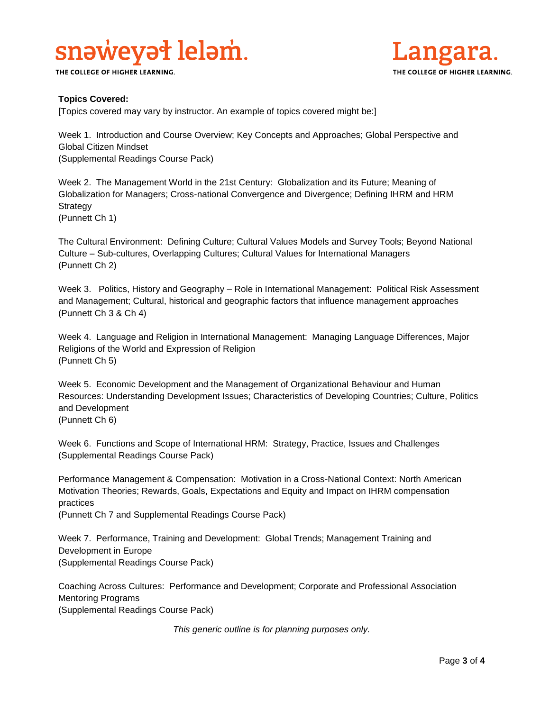# snaweyat lelam.

THE COLLEGE OF HIGHER LEARNING.



# **Topics Covered:**

[Topics covered may vary by instructor. An example of topics covered might be:]

Week 1. Introduction and Course Overview; Key Concepts and Approaches; Global Perspective and Global Citizen Mindset (Supplemental Readings Course Pack)

Week 2. The Management World in the 21st Century: Globalization and its Future; Meaning of Globalization for Managers; Cross-national Convergence and Divergence; Defining IHRM and HRM Strategy

(Punnett Ch 1)

The Cultural Environment: Defining Culture; Cultural Values Models and Survey Tools; Beyond National Culture – Sub-cultures, Overlapping Cultures; Cultural Values for International Managers (Punnett Ch 2)

Week 3. Politics, History and Geography – Role in International Management: Political Risk Assessment and Management; Cultural, historical and geographic factors that influence management approaches (Punnett Ch 3 & Ch 4)

Week 4. Language and Religion in International Management: Managing Language Differences, Major Religions of the World and Expression of Religion (Punnett Ch 5)

Week 5. Economic Development and the Management of Organizational Behaviour and Human Resources: Understanding Development Issues; Characteristics of Developing Countries; Culture, Politics and Development

(Punnett Ch 6)

Week 6. Functions and Scope of International HRM: Strategy, Practice, Issues and Challenges (Supplemental Readings Course Pack)

Performance Management & Compensation: Motivation in a Cross-National Context: North American Motivation Theories; Rewards, Goals, Expectations and Equity and Impact on IHRM compensation practices

(Punnett Ch 7 and Supplemental Readings Course Pack)

Week 7. Performance, Training and Development: Global Trends; Management Training and Development in Europe (Supplemental Readings Course Pack)

Coaching Across Cultures: Performance and Development; Corporate and Professional Association Mentoring Programs

(Supplemental Readings Course Pack)

*This generic outline is for planning purposes only.*